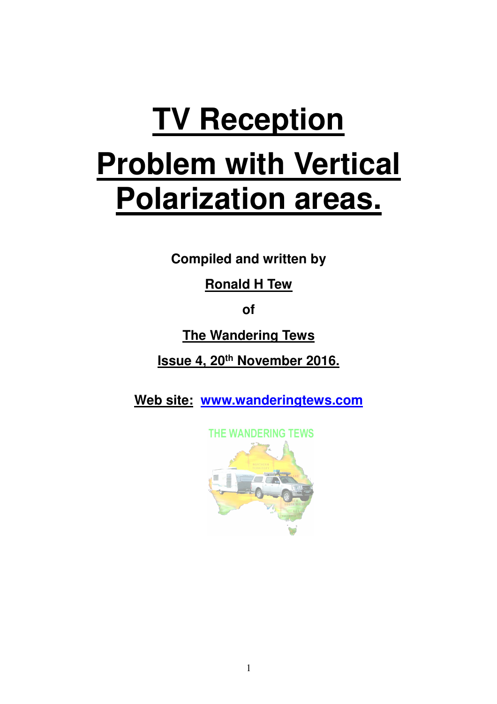# **TV Reception Problem with Vertical Polarization areas.**

**Compiled and written by** 

**Ronald H Tew** 

**of** 

**The Wandering Tews** 

**Issue 4, 20th November 2016.** 

**Web site: www.wanderingtews.com**

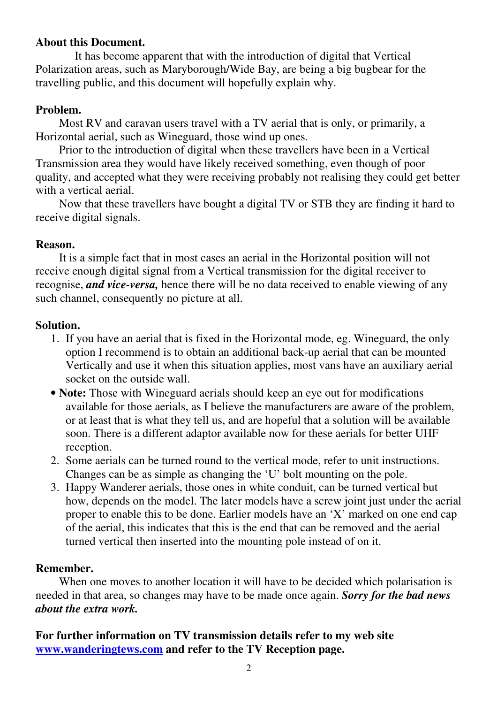## **About this Document.**

 It has become apparent that with the introduction of digital that Vertical Polarization areas, such as Maryborough/Wide Bay, are being a big bugbear for the travelling public, and this document will hopefully explain why.

## **Problem.**

 Most RV and caravan users travel with a TV aerial that is only, or primarily, a Horizontal aerial, such as Wineguard, those wind up ones.

 Prior to the introduction of digital when these travellers have been in a Vertical Transmission area they would have likely received something, even though of poor quality, and accepted what they were receiving probably not realising they could get better with a vertical aerial.

 Now that these travellers have bought a digital TV or STB they are finding it hard to receive digital signals.

## **Reason.**

 It is a simple fact that in most cases an aerial in the Horizontal position will not receive enough digital signal from a Vertical transmission for the digital receiver to recognise, *and vice-versa,* hence there will be no data received to enable viewing of any such channel, consequently no picture at all.

## **Solution.**

- 1. If you have an aerial that is fixed in the Horizontal mode, eg. Wineguard, the only option I recommend is to obtain an additional back-up aerial that can be mounted Vertically and use it when this situation applies, most vans have an auxiliary aerial socket on the outside wall.
- **Note:** Those with Wineguard aerials should keep an eye out for modifications available for those aerials, as I believe the manufacturers are aware of the problem, or at least that is what they tell us, and are hopeful that a solution will be available soon. There is a different adaptor available now for these aerials for better UHF reception.
- 2. Some aerials can be turned round to the vertical mode, refer to unit instructions. Changes can be as simple as changing the 'U' bolt mounting on the pole.
- 3. Happy Wanderer aerials, those ones in white conduit, can be turned vertical but how, depends on the model. The later models have a screw joint just under the aerial proper to enable this to be done. Earlier models have an 'X' marked on one end cap of the aerial, this indicates that this is the end that can be removed and the aerial turned vertical then inserted into the mounting pole instead of on it.

# **Remember.**

 When one moves to another location it will have to be decided which polarisation is needed in that area, so changes may have to be made once again. *Sorry for the bad news about the extra work.*

**For further information on TV transmission details refer to my web site www.wanderingtews.com and refer to the TV Reception page.**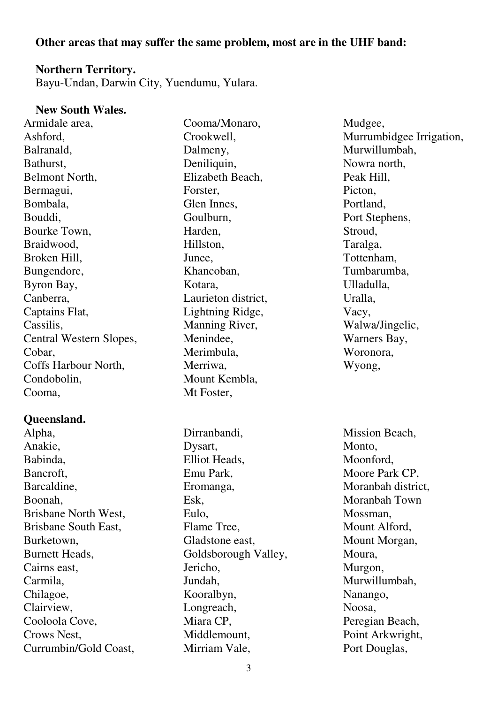## **Other areas that may suffer the same problem, most are in the UHF band:**

#### **Northern Territory.**

Bayu-Undan, Darwin City, Yuendumu, Yulara.

#### **New South Wales.**

Armidale area, Ashford, Balranald, Bathurst, Belmont North, Bermagui, Bombala, Bouddi, Bourke Town, Braidwood, Broken Hill, Bungendore, Byron Bay, Canberra, Captains Flat, Cassilis, Central Western Slopes, Cobar, Coffs Harbour North, Condobolin, Cooma,

#### **Queensland.**

Alpha, Anakie, Babinda, Bancroft, Barcaldine, Boonah, Brisbane North West, Brisbane South East, Burketown, Burnett Heads, Cairns east, Carmila, Chilagoe, Clairview, Cooloola Cove, Crows Nest, Currumbin/Gold Coast, Cooma/Monaro, Crookwell, Dalmeny, Deniliquin. Elizabeth Beach, Forster, Glen Innes, Goulburn, Harden, Hillston, Junee, Khancoban, Kotara, Laurieton district, Lightning Ridge, Manning River, Menindee, Merimbula, Merriwa, Mount Kembla, Mt Foster,

Dirranbandi, Dysart, Elliot Heads, Emu Park, Eromanga, Esk, Eulo, Flame Tree, Gladstone east, Goldsborough Valley, Jericho, Jundah, Kooralbyn, Longreach, Miara CP, Middlemount, Mirriam Vale,

Mudgee, Murrumbidgee Irrigation, Murwillumbah, Nowra north, Peak Hill, Picton, Portland, Port Stephens, Stroud, Taralga, Tottenham, Tumbarumba, Ulladulla, Uralla, Vacy, Walwa/Jingelic, Warners Bay, Woronora, Wyong,

Mission Beach, Monto. Moonford, Moore Park CP, Moranbah district, Moranbah Town Mossman, Mount Alford, Mount Morgan, Moura, Murgon, Murwillumbah, Nanango, Noosa, Peregian Beach, Point Arkwright, Port Douglas,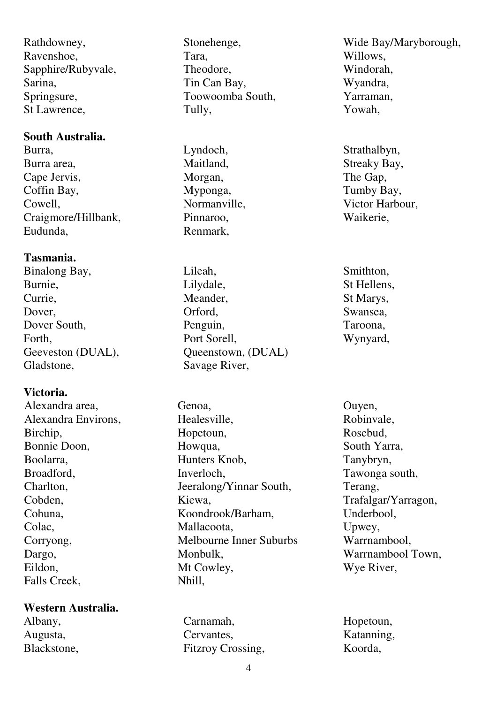Rathdowney, Ravenshoe, Sapphire/Rubyvale, Sarina, Springsure, St Lawrence,

## **South Australia.**

Burra, Burra area, Cape Jervis, Coffin Bay, Cowell, Craigmore/Hillbank, Eudunda,

# **Tasmania.**

Binalong Bay, Burnie, Currie, Dover, Dover South, Forth, Geeveston (DUAL), Gladstone,

# **Victoria.**

Alexandra area, Alexandra Environs, Birchip, Bonnie Doon, Boolarra, Broadford, Charlton, Cobden, Cohuna, Colac, Corryong, Dargo, Eildon, Falls Creek,

## **Western Australia.**

Albany, Augusta, Blackstone, Stonehenge, Tara, Theodore, Tin Can Bay, Toowoomba South, Tully,

Lyndoch, Maitland, Morgan, Myponga, Normanville, Pinnaroo, Renmark,

Lileah, Lilydale, Meander, Orford, Penguin, Port Sorell, Queenstown, (DUAL) Savage River,

Genoa, Healesville, Hopetoun, Howqua, Hunters Knob, Inverloch, Jeeralong/Yinnar South, Kiewa, Koondrook/Barham, Mallacoota, Melbourne Inner Suburbs Monbulk, Mt Cowley, Nhill,

Carnamah, Cervantes, Fitzroy Crossing, Wide Bay/Maryborough, Willows, Windorah, Wyandra, Yarraman, Yowah,

Strathalbyn, Streaky Bay, The Gap, Tumby Bay, Victor Harbour, Waikerie,

Smithton, St Hellens, St Marys, Swansea, Taroona, Wynyard,

Ouyen, Robinvale, Rosebud, South Yarra, Tanybryn, Tawonga south, Terang, Trafalgar/Yarragon, Underbool, Upwey, Warrnambool, Warrnambool Town, Wye River,

Hopetoun, Katanning, Koorda,